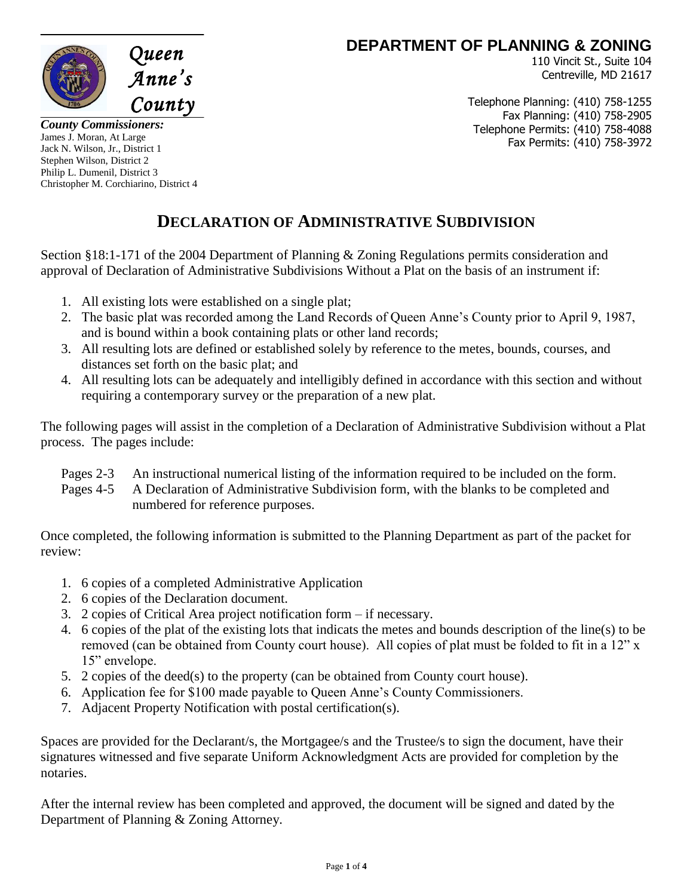

**DEPARTMENT OF PLANNING & ZONING** 

110 Vincit St., Suite 104 Centreville, MD 21617

Telephone Planning: (410) 758-1255 Fax Planning: (410) 758-2905 Telephone Permits: (410) 758-4088 Fax Permits: (410) 758-3972

*County Commissioners:* James J. Moran, At Large Jack N. Wilson, Jr., District 1 Stephen Wilson, District 2 Philip L. Dumenil, District 3 Christopher M. Corchiarino, District 4

## **DECLARATION OF ADMINISTRATIVE SUBDIVISION**

Section §18:1-171 of the 2004 Department of Planning & Zoning Regulations permits consideration and approval of Declaration of Administrative Subdivisions Without a Plat on the basis of an instrument if:

- 1. All existing lots were established on a single plat;
- 2. The basic plat was recorded among the Land Records of Queen Anne's County prior to April 9, 1987, and is bound within a book containing plats or other land records;
- 3. All resulting lots are defined or established solely by reference to the metes, bounds, courses, and distances set forth on the basic plat; and
- 4. All resulting lots can be adequately and intelligibly defined in accordance with this section and without requiring a contemporary survey or the preparation of a new plat.

The following pages will assist in the completion of a Declaration of Administrative Subdivision without a Plat process. The pages include:

- Pages 2-3 An instructional numerical listing of the information required to be included on the form.
- Pages 4-5 A Declaration of Administrative Subdivision form, with the blanks to be completed and numbered for reference purposes.

Once completed, the following information is submitted to the Planning Department as part of the packet for review:

- 1. 6 copies of a completed Administrative Application
- 2. 6 copies of the Declaration document.
- 3. 2 copies of Critical Area project notification form if necessary.
- 4. 6 copies of the plat of the existing lots that indicats the metes and bounds description of the line(s) to be removed (can be obtained from County court house). All copies of plat must be folded to fit in a 12" x 15" envelope.
- 5. 2 copies of the deed(s) to the property (can be obtained from County court house).
- 6. Application fee for \$100 made payable to Queen Anne's County Commissioners.
- 7. Adjacent Property Notification with postal certification(s).

Spaces are provided for the Declarant/s, the Mortgagee/s and the Trustee/s to sign the document, have their signatures witnessed and five separate Uniform Acknowledgment Acts are provided for completion by the notaries.

After the internal review has been completed and approved, the document will be signed and dated by the Department of Planning & Zoning Attorney.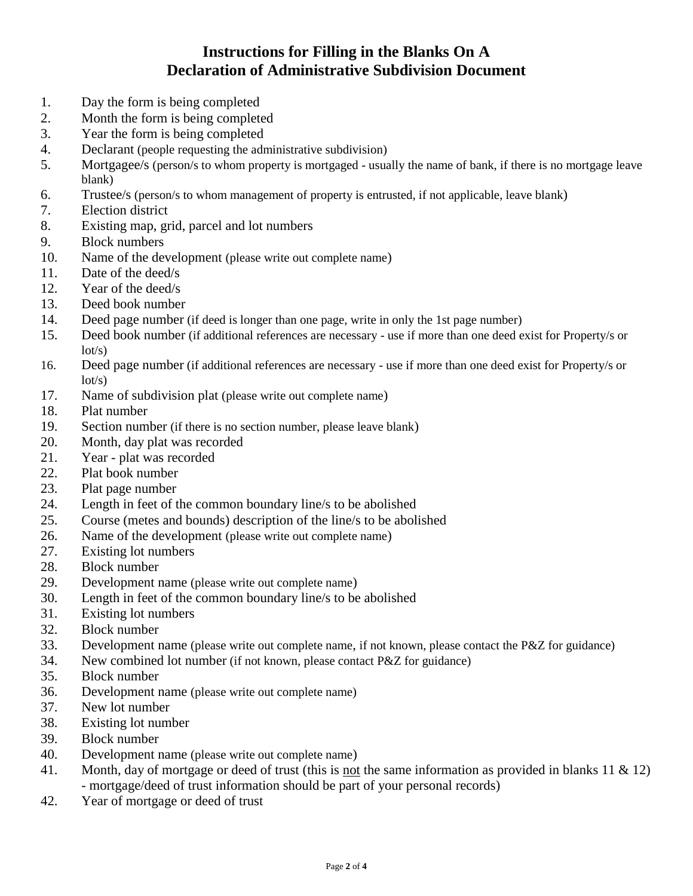## **Instructions for Filling in the Blanks On A Declaration of Administrative Subdivision Document**

- 1. Day the form is being completed
- 2. Month the form is being completed
- 3. Year the form is being completed
- 4. Declarant (people requesting the administrative subdivision)
- 5. Mortgagee/s (person/s to whom property is mortgaged usually the name of bank, if there is no mortgage leave blank)
- 6. Trustee/s (person/s to whom management of property is entrusted, if not applicable, leave blank)
- 7. Election district
- 8. Existing map, grid, parcel and lot numbers
- 9. Block numbers
- 10. Name of the development (please write out complete name)
- 11. Date of the deed/s
- 12. Year of the deed/s
- 13. Deed book number
- 14. Deed page number (if deed is longer than one page, write in only the 1st page number)
- 15. Deed book number (if additional references are necessary use if more than one deed exist for Property/s or  $lot/s)$
- 16. Deed page number (if additional references are necessary use if more than one deed exist for Property/s or  $lot/s)$
- 17. Name of subdivision plat (please write out complete name)
- 18. Plat number
- 19. Section number (if there is no section number, please leave blank)
- 20. Month, day plat was recorded
- 21. Year plat was recorded
- 22. Plat book number
- 23. Plat page number
- 24. Length in feet of the common boundary line/s to be abolished
- 25. Course (metes and bounds) description of the line/s to be abolished
- 26. Name of the development (please write out complete name)
- 27. Existing lot numbers
- 28. Block number
- 29. Development name (please write out complete name)
- 30. Length in feet of the common boundary line/s to be abolished
- 31. Existing lot numbers
- 32. Block number
- 33. Development name (please write out complete name, if not known, please contact the P&Z for guidance)
- 34. New combined lot number (if not known, please contact P&Z for guidance)
- 35. Block number
- 36. Development name (please write out complete name)
- 37. New lot number
- 38. Existing lot number
- 39. Block number
- 40. Development name (please write out complete name)
- 41. Month, day of mortgage or deed of trust (this is not the same information as provided in blanks 11 & 12) - mortgage/deed of trust information should be part of your personal records)
- 42. Year of mortgage or deed of trust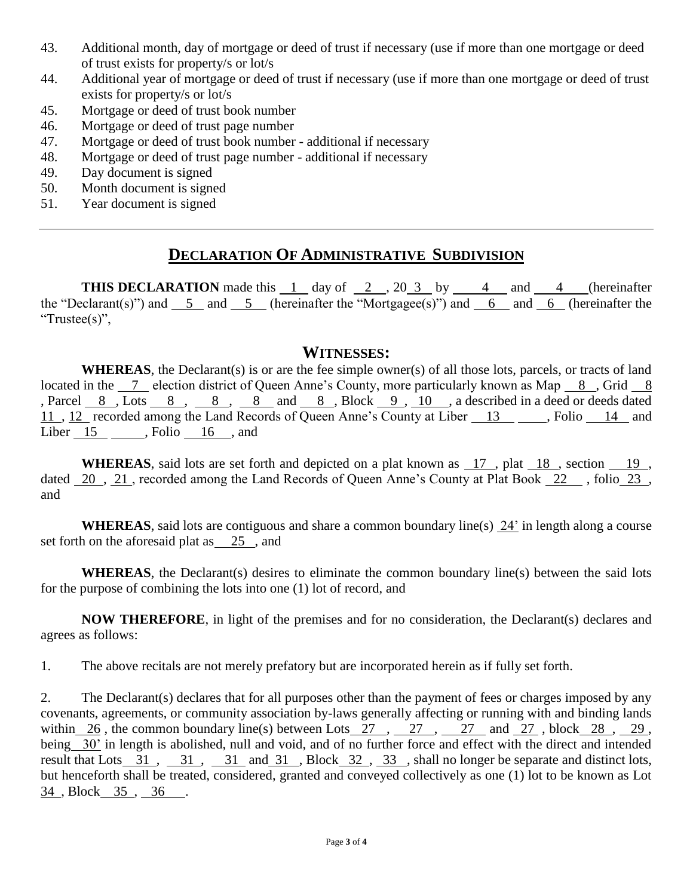- 43. Additional month, day of mortgage or deed of trust if necessary (use if more than one mortgage or deed of trust exists for property/s or lot/s
- 44. Additional year of mortgage or deed of trust if necessary (use if more than one mortgage or deed of trust exists for property/s or lot/s
- 45. Mortgage or deed of trust book number
- 46. Mortgage or deed of trust page number
- 47. Mortgage or deed of trust book number additional if necessary
- 48. Mortgage or deed of trust page number additional if necessary
- 49. Day document is signed
- 50. Month document is signed
- 51. Year document is signed

## **DECLARATION OF ADMINISTRATIVE SUBDIVISION**

**THIS DECLARATION** made this 1 day of 2, 20 3 by 4 and 4 (hereinafter the "Declarant(s)") and  $\overline{5}$  and  $\overline{5}$  (hereinafter the "Mortgagee(s)") and  $\overline{6}$  and  $\overline{6}$  (hereinafter the "Trustee(s)",

## **WITNESSES:**

**WHEREAS**, the Declarant(s) is or are the fee simple owner(s) of all those lots, parcels, or tracts of land located in the 7 election district of Queen Anne's County, more particularly known as Map 8, Grid 8 , Parcel  $8$ , Lots  $8$ ,  $8$ ,  $8$  and  $8$ , Block  $9$ ,  $10$ , a described in a deed or deeds dated 11, 12 recorded among the Land Records of Queen Anne's County at Liber 13 , Rolio 14 and Liber 15 , Folio 16 , and

**WHEREAS**, said lots are set forth and depicted on a plat known as 17 , plat 18 , section 19 , dated 20 , 21 , recorded among the Land Records of Queen Anne's County at Plat Book 22 , folio 23 , and

**WHEREAS**, said lots are contiguous and share a common boundary line(s) 24' in length along a course set forth on the aforesaid plat as 25, and

**WHEREAS**, the Declarant(s) desires to eliminate the common boundary line(s) between the said lots for the purpose of combining the lots into one (1) lot of record, and

**NOW THEREFORE**, in light of the premises and for no consideration, the Declarant(s) declares and agrees as follows:

1. The above recitals are not merely prefatory but are incorporated herein as if fully set forth.

2. The Declarant(s) declares that for all purposes other than the payment of fees or charges imposed by any covenants, agreements, or community association by-laws generally affecting or running with and binding lands within 26, the common boundary line(s) between Lots  $27$ ,  $27$ ,  $27$  and  $27$ , block  $28$ ,  $29$ , being 30' in length is abolished, null and void, and of no further force and effect with the direct and intended result that Lots 31, 31, 31 and 31, Block 32, 33, shall no longer be separate and distinct lots, but henceforth shall be treated, considered, granted and conveyed collectively as one (1) lot to be known as Lot 34 , Block 35 , 36 .